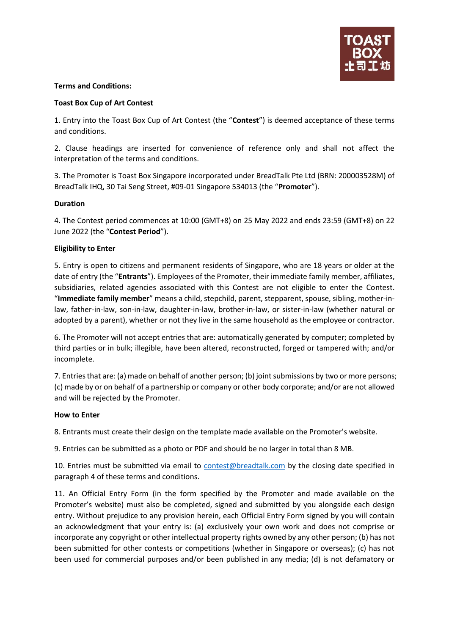

## **Terms and Conditions:**

## **Toast Box Cup of Art Contest**

1. Entry into the Toast Box Cup of Art Contest (the "**Contest**") is deemed acceptance of these terms and conditions.

2. Clause headings are inserted for convenience of reference only and shall not affect the interpretation of the terms and conditions.

3. The Promoter is Toast Box Singapore incorporated under BreadTalk Pte Ltd (BRN: 200003528M) of BreadTalk IHQ, 30 Tai Seng Street, #09-01 Singapore 534013 (the "**Promoter**").

# **Duration**

4. The Contest period commences at 10:00 (GMT+8) on 25 May 2022 and ends 23:59 (GMT+8) on 22 June 2022 (the "**Contest Period**").

# **Eligibility to Enter**

5. Entry is open to citizens and permanent residents of Singapore, who are 18 years or older at the date of entry (the "**Entrants**"). Employees of the Promoter, their immediate family member, affiliates, subsidiaries, related agencies associated with this Contest are not eligible to enter the Contest. "**Immediate family member**" means a child, stepchild, parent, stepparent, spouse, sibling, mother-inlaw, father-in-law, son-in-law, daughter-in-law, brother-in-law, or sister-in-law (whether natural or adopted by a parent), whether or not they live in the same household as the employee or contractor.

6. The Promoter will not accept entries that are: automatically generated by computer; completed by third parties or in bulk; illegible, have been altered, reconstructed, forged or tampered with; and/or incomplete.

7. Entries that are: (a) made on behalf of another person; (b) joint submissions by two or more persons; (c) made by or on behalf of a partnership or company or other body corporate; and/or are not allowed and will be rejected by the Promoter.

#### **How to Enter**

8. Entrants must create their design on the template made available on the Promoter's website.

9. Entries can be submitted as a photo or PDF and should be no larger in total than 8 MB.

10. Entries must be submitted via email to [contest@breadtalk.com](file:///C:/Users/valentia.szetoh/AppData/Local/Microsoft/Windows/INetCache/Content.Outlook/DTED2K8M/contest@breadtalk.com) by the closing date specified in paragraph 4 of these terms and conditions.

11. An Official Entry Form (in the form specified by the Promoter and made available on the Promoter's website) must also be completed, signed and submitted by you alongside each design entry. Without prejudice to any provision herein, each Official Entry Form signed by you will contain an acknowledgment that your entry is: (a) exclusively your own work and does not comprise or incorporate any copyright or other intellectual property rights owned by any other person; (b) has not been submitted for other contests or competitions (whether in Singapore or overseas); (c) has not been used for commercial purposes and/or been published in any media; (d) is not defamatory or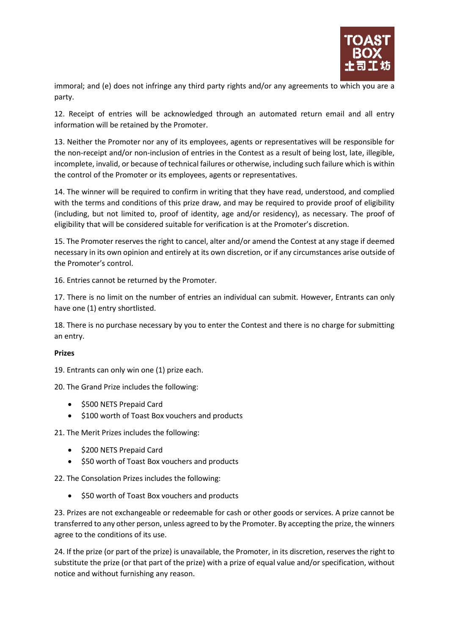

immoral; and (e) does not infringe any third party rights and/or any agreements to which you are a party.

12. Receipt of entries will be acknowledged through an automated return email and all entry information will be retained by the Promoter.

13. Neither the Promoter nor any of its employees, agents or representatives will be responsible for the non-receipt and/or non-inclusion of entries in the Contest as a result of being lost, late, illegible, incomplete, invalid, or because of technical failures or otherwise, including such failure which is within the control of the Promoter or its employees, agents or representatives.

14. The winner will be required to confirm in writing that they have read, understood, and complied with the terms and conditions of this prize draw, and may be required to provide proof of eligibility (including, but not limited to, proof of identity, age and/or residency), as necessary. The proof of eligibility that will be considered suitable for verification is at the Promoter's discretion.

15. The Promoter reserves the right to cancel, alter and/or amend the Contest at any stage if deemed necessary in its own opinion and entirely at its own discretion, or if any circumstances arise outside of the Promoter's control.

16. Entries cannot be returned by the Promoter.

17. There is no limit on the number of entries an individual can submit. However, Entrants can only have one (1) entry shortlisted.

18. There is no purchase necessary by you to enter the Contest and there is no charge for submitting an entry.

#### **Prizes**

19. Entrants can only win one (1) prize each.

20. The Grand Prize includes the following:

- \$500 NETS Prepaid Card
- \$100 worth of Toast Box vouchers and products

21. The Merit Prizes includes the following:

- \$200 NETS Prepaid Card
- \$50 worth of Toast Box vouchers and products

22. The Consolation Prizes includes the following:

• \$50 worth of Toast Box vouchers and products

23. Prizes are not exchangeable or redeemable for cash or other goods or services. A prize cannot be transferred to any other person, unless agreed to by the Promoter. By accepting the prize, the winners agree to the conditions of its use.

24. If the prize (or part of the prize) is unavailable, the Promoter, in its discretion, reserves the right to substitute the prize (or that part of the prize) with a prize of equal value and/or specification, without notice and without furnishing any reason.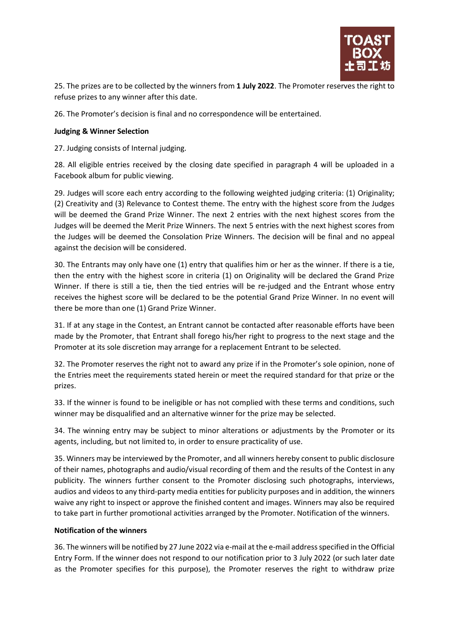

25. The prizes are to be collected by the winners from **1 July 2022**. The Promoter reserves the right to refuse prizes to any winner after this date.

26. The Promoter's decision is final and no correspondence will be entertained.

# **Judging & Winner Selection**

27. Judging consists of Internal judging.

28. All eligible entries received by the closing date specified in paragraph 4 will be uploaded in a Facebook album for public viewing.

29. Judges will score each entry according to the following weighted judging criteria: (1) Originality; (2) Creativity and (3) Relevance to Contest theme. The entry with the highest score from the Judges will be deemed the Grand Prize Winner. The next 2 entries with the next highest scores from the Judges will be deemed the Merit Prize Winners. The next 5 entries with the next highest scores from the Judges will be deemed the Consolation Prize Winners. The decision will be final and no appeal against the decision will be considered.

30. The Entrants may only have one (1) entry that qualifies him or her as the winner. If there is a tie, then the entry with the highest score in criteria (1) on Originality will be declared the Grand Prize Winner. If there is still a tie, then the tied entries will be re-judged and the Entrant whose entry receives the highest score will be declared to be the potential Grand Prize Winner. In no event will there be more than one (1) Grand Prize Winner.

31. If at any stage in the Contest, an Entrant cannot be contacted after reasonable efforts have been made by the Promoter, that Entrant shall forego his/her right to progress to the next stage and the Promoter at its sole discretion may arrange for a replacement Entrant to be selected.

32. The Promoter reserves the right not to award any prize if in the Promoter's sole opinion, none of the Entries meet the requirements stated herein or meet the required standard for that prize or the prizes.

33. If the winner is found to be ineligible or has not complied with these terms and conditions, such winner may be disqualified and an alternative winner for the prize may be selected.

34. The winning entry may be subject to minor alterations or adjustments by the Promoter or its agents, including, but not limited to, in order to ensure practicality of use.

35. Winners may be interviewed by the Promoter, and all winners hereby consent to public disclosure of their names, photographs and audio/visual recording of them and the results of the Contest in any publicity. The winners further consent to the Promoter disclosing such photographs, interviews, audios and videos to any third-party media entities for publicity purposes and in addition, the winners waive any right to inspect or approve the finished content and images. Winners may also be required to take part in further promotional activities arranged by the Promoter. Notification of the winners.

#### **Notification of the winners**

36. The winners will be notified by 27 June 2022 via e-mail at the e-mail address specified in the Official Entry Form. If the winner does not respond to our notification prior to 3 July 2022 (or such later date as the Promoter specifies for this purpose), the Promoter reserves the right to withdraw prize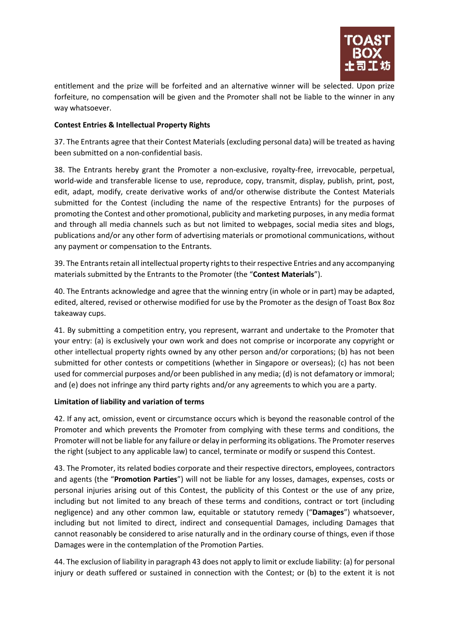

entitlement and the prize will be forfeited and an alternative winner will be selected. Upon prize forfeiture, no compensation will be given and the Promoter shall not be liable to the winner in any way whatsoever.

# **Contest Entries & Intellectual Property Rights**

37. The Entrants agree that their Contest Materials (excluding personal data) will be treated as having been submitted on a non-confidential basis.

38. The Entrants hereby grant the Promoter a non-exclusive, royalty-free, irrevocable, perpetual, world-wide and transferable license to use, reproduce, copy, transmit, display, publish, print, post, edit, adapt, modify, create derivative works of and/or otherwise distribute the Contest Materials submitted for the Contest (including the name of the respective Entrants) for the purposes of promoting the Contest and other promotional, publicity and marketing purposes, in any media format and through all media channels such as but not limited to webpages, social media sites and blogs, publications and/or any other form of advertising materials or promotional communications, without any payment or compensation to the Entrants.

39. The Entrants retain all intellectual property rights to their respective Entries and any accompanying materials submitted by the Entrants to the Promoter (the "**Contest Materials**").

40. The Entrants acknowledge and agree that the winning entry (in whole or in part) may be adapted, edited, altered, revised or otherwise modified for use by the Promoter as the design of Toast Box 8oz takeaway cups.

41. By submitting a competition entry, you represent, warrant and undertake to the Promoter that your entry: (a) is exclusively your own work and does not comprise or incorporate any copyright or other intellectual property rights owned by any other person and/or corporations; (b) has not been submitted for other contests or competitions (whether in Singapore or overseas); (c) has not been used for commercial purposes and/or been published in any media; (d) is not defamatory or immoral; and (e) does not infringe any third party rights and/or any agreements to which you are a party.

#### **Limitation of liability and variation of terms**

42. If any act, omission, event or circumstance occurs which is beyond the reasonable control of the Promoter and which prevents the Promoter from complying with these terms and conditions, the Promoter will not be liable for any failure or delay in performing its obligations. The Promoter reserves the right (subject to any applicable law) to cancel, terminate or modify or suspend this Contest.

43. The Promoter, its related bodies corporate and their respective directors, employees, contractors and agents (the "**Promotion Parties**") will not be liable for any losses, damages, expenses, costs or personal injuries arising out of this Contest, the publicity of this Contest or the use of any prize, including but not limited to any breach of these terms and conditions, contract or tort (including negligence) and any other common law, equitable or statutory remedy ("**Damages**") whatsoever, including but not limited to direct, indirect and consequential Damages, including Damages that cannot reasonably be considered to arise naturally and in the ordinary course of things, even if those Damages were in the contemplation of the Promotion Parties.

44. The exclusion of liability in paragraph 43 does not apply to limit or exclude liability: (a) for personal injury or death suffered or sustained in connection with the Contest; or (b) to the extent it is not